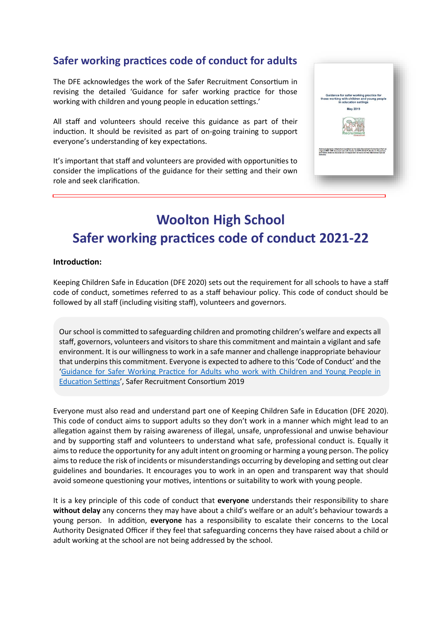# **Safer working practices code of conduct for adults**

The DFE acknowledges the work of the Safer Recruitment Consortium in revising the detailed 'Guidance for safer working practice for those working with children and young people in education settings.'

All staff and volunteers should receive this guidance as part of their induction. It should be revisited as part of on-going training to support everyone's understanding of key expectations.

It's important that staff and volunteers are provided with opportunities to consider the implications of the guidance for their setting and their own role and seek clarification.

|                 | Guidance for safer working practice for<br>those working with children and young people<br>in education settings                                                                                                                                             |
|-----------------|--------------------------------------------------------------------------------------------------------------------------------------------------------------------------------------------------------------------------------------------------------------|
|                 | <b>May 2019</b>                                                                                                                                                                                                                                              |
|                 | Consort                                                                                                                                                                                                                                                      |
| <b>Schooled</b> | Acknowledgments: Adapted and updated by the Safer Recruitment Consortium from an<br>original IRSC / DfE document and with thanks to CAPE (Child Protection in Education)<br>and NASS (National Association of Independent Schools and Non-Maintained Special |
|                 |                                                                                                                                                                                                                                                              |

# **Woolton High School Safer working practices code of conduct 2021-22**

#### **Introduction:**

Keeping Children Safe in Education (DFE 2020) sets out the requirement for all schools to have a staff code of conduct, sometimes referred to as a staff behaviour policy. This code of conduct should be followed by all staff (including visiting staff), volunteers and governors.

Our school is committed to safeguarding children and promoting children's welfare and expects all staff, governors, volunteers and visitors to share this commitment and maintain a vigilant and safe environment. It is our willingness to work in a safe manner and challenge inappropriate behaviour that underpins this commitment. Everyone is expected to adhere to this 'Code of Conduct' and the ['Guidance for Safer Working Practice for Adults who work with Children and Young People in](http://www.saferrecruitmentconsortium.org/GSWP%20May%202019%20final.pdf)  [Education Settings'](http://www.saferrecruitmentconsortium.org/GSWP%20May%202019%20final.pdf), Safer Recruitment Consortium 2019

Everyone must also read and understand part one of Keeping Children Safe in Education (DFE 2020). This code of conduct aims to support adults so they don't work in a manner which might lead to an allegation against them by raising awareness of illegal, unsafe, unprofessional and unwise behaviour and by supporting staff and volunteers to understand what safe, professional conduct is. Equally it aims to reduce the opportunity for any adult intent on grooming or harming a young person. The policy aims to reduce the risk of incidents or misunderstandings occurring by developing and setting out clear guidelines and boundaries. It encourages you to work in an open and transparent way that should avoid someone questioning your motives, intentions or suitability to work with young people.

It is a key principle of this code of conduct that **everyone** understands their responsibility to share **without delay** any concerns they may have about a child's welfare or an adult's behaviour towards a young person. In addition, **everyone** has a responsibility to escalate their concerns to the Local Authority Designated Officer if they feel that safeguarding concerns they have raised about a child or adult working at the school are not being addressed by the school.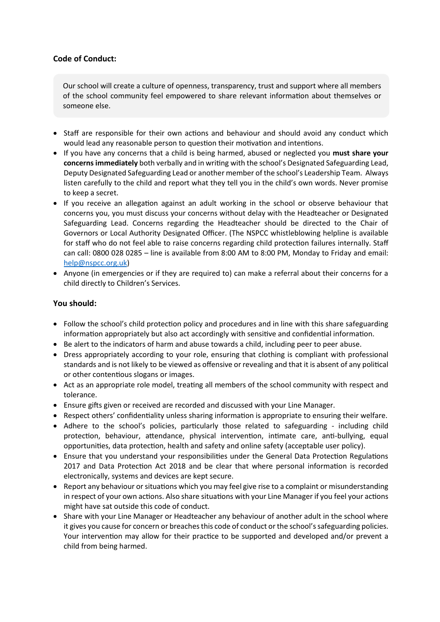# **Code of Conduct:**

Our school will create a culture of openness, transparency, trust and support where all members of the school community feel empowered to share relevant information about themselves or someone else.

- Staff are responsible for their own actions and behaviour and should avoid any conduct which would lead any reasonable person to question their motivation and intentions.
- If you have any concerns that a child is being harmed, abused or neglected you **must share your concerns immediately** both verbally and in writing with the school's Designated Safeguarding Lead, Deputy Designated Safeguarding Lead or another member of the school's Leadership Team. Always listen carefully to the child and report what they tell you in the child's own words. Never promise to keep a secret.
- If you receive an allegation against an adult working in the school or observe behaviour that concerns you, you must discuss your concerns without delay with the Headteacher or Designated Safeguarding Lead. Concerns regarding the Headteacher should be directed to the Chair of Governors or Local Authority Designated Officer. (The NSPCC whistleblowing helpline is available for staff who do not feel able to raise concerns regarding child protection failures internally. Staff can call: 0800 028 0285 – line is available from 8:00 AM to 8:00 PM, Monday to Friday and email: [help@nspcc.org.uk\)](mailto:help@nspcc.org.uk)
- Anyone (in emergencies or if they are required to) can make a referral about their concerns for a child directly to Children's Services.

## **You should:**

- Follow the school's child protection policy and procedures and in line with this share safeguarding information appropriately but also act accordingly with sensitive and confidential information.
- Be alert to the indicators of harm and abuse towards a child, including peer to peer abuse.
- Dress appropriately according to your role, ensuring that clothing is compliant with professional standards and is not likely to be viewed as offensive or revealing and that it is absent of any political or other contentious slogans or images.
- Act as an appropriate role model, treating all members of the school community with respect and tolerance.
- Ensure gifts given or received are recorded and discussed with your Line Manager.
- Respect others' confidentiality unless sharing information is appropriate to ensuring their welfare.
- Adhere to the school's policies, particularly those related to safeguarding including child protection, behaviour, attendance, physical intervention, intimate care, anti-bullying, equal opportunities, data protection, health and safety and online safety (acceptable user policy).
- Ensure that you understand your responsibilities under the General Data Protection Regulations 2017 and Data Protection Act 2018 and be clear that where personal information is recorded electronically, systems and devices are kept secure.
- Report any behaviour or situations which you may feel give rise to a complaint or misunderstanding in respect of your own actions. Also share situations with your Line Manager if you feel your actions might have sat outside this code of conduct.
- Share with your Line Manager or Headteacher any behaviour of another adult in the school where it gives you cause for concern or breaches this code of conduct or the school's safeguarding policies. Your intervention may allow for their practice to be supported and developed and/or prevent a child from being harmed.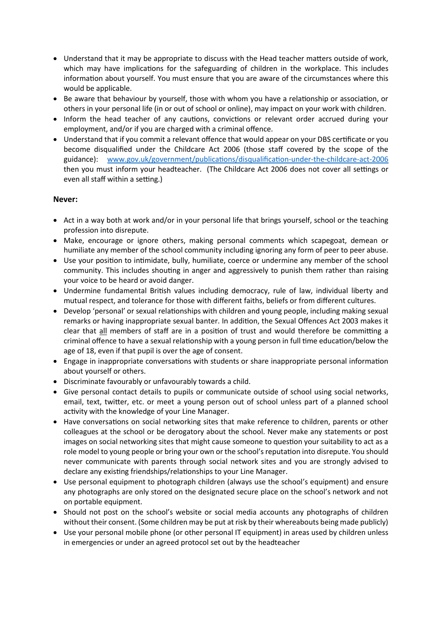- Understand that it may be appropriate to discuss with the Head teacher matters outside of work, which may have implications for the safeguarding of children in the workplace. This includes information about yourself. You must ensure that you are aware of the circumstances where this would be applicable.
- Be aware that behaviour by yourself, those with whom you have a relationship or association, or others in your personal life (in or out of school or online), may impact on your work with children.
- Inform the head teacher of any cautions, convictions or relevant order accrued during your employment, and/or if you are charged with a criminal offence.
- Understand that if you commit a relevant offence that would appear on your DBS certificate or you become disqualified under the Childcare Act 2006 (those staff covered by the scope of the guidance): [www.gov.uk/government/publications/disqualification-under-the-childcare-act-2006](http://www.gov.uk/government/publications/disqualification-under-the-childcare-act-2006) then you must inform your headteacher. (The Childcare Act 2006 does not cover all settings or even all staff within a setting.)

## **Never:**

- Act in a way both at work and/or in your personal life that brings yourself, school or the teaching profession into disrepute.
- Make, encourage or ignore others, making personal comments which scapegoat, demean or humiliate any member of the school community including ignoring any form of peer to peer abuse.
- Use your position to intimidate, bully, humiliate, coerce or undermine any member of the school community. This includes shouting in anger and aggressively to punish them rather than raising your voice to be heard or avoid danger.
- Undermine fundamental British values including democracy, rule of law, individual liberty and mutual respect, and tolerance for those with different faiths, beliefs or from different cultures.
- Develop 'personal' or sexual relationships with children and young people, including making sexual remarks or having inappropriate sexual banter. In addition, the Sexual Offences Act 2003 makes it clear that all members of staff are in a position of trust and would therefore be committing a criminal offence to have a sexual relationship with a young person in full time education/below the age of 18, even if that pupil is over the age of consent.
- Engage in inappropriate conversations with students or share inappropriate personal information about yourself or others.
- Discriminate favourably or unfavourably towards a child.
- Give personal contact details to pupils or communicate outside of school using social networks, email, text, twitter, etc. or meet a young person out of school unless part of a planned school activity with the knowledge of your Line Manager.
- Have conversations on social networking sites that make reference to children, parents or other colleagues at the school or be derogatory about the school. Never make any statements or post images on social networking sites that might cause someone to question your suitability to act as a role model to young people or bring your own or the school's reputation into disrepute. You should never communicate with parents through social network sites and you are strongly advised to declare any existing friendships/relationships to your Line Manager.
- Use personal equipment to photograph children (always use the school's equipment) and ensure any photographs are only stored on the designated secure place on the school's network and not on portable equipment.
- Should not post on the school's website or social media accounts any photographs of children without their consent. (Some children may be put at risk by their whereabouts being made publicly)
- Use your personal mobile phone (or other personal IT equipment) in areas used by children unless in emergencies or under an agreed protocol set out by the headteacher